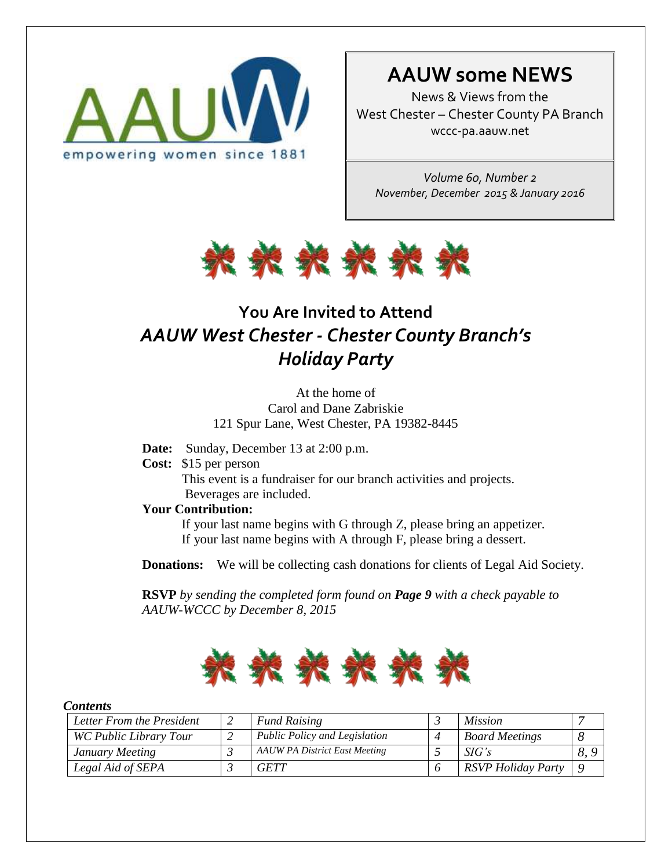

# **AAUW some NEWS**

News & Views from the West Chester – Chester County PA Branch wccc-pa.aauw.net

*Volume 60, Number 2 November, December 2015 & January 2016*



# **You Are Invited to Attend** *AAUW West Chester - Chester County Branch's Holiday Party*

At the home of Carol and Dane Zabriskie 121 Spur Lane, West Chester, PA 19382-8445

- **Date:** Sunday, December 13 at 2:00 p.m.
- **Cost:** \$15 per person This event is a fundraiser for our branch activities and projects. Beverages are included.

### **Your Contribution:**

If your last name begins with G through Z, please bring an appetizer. If your last name begins with A through F, please bring a dessert.

**Donations:** We will be collecting cash donations for clients of Legal Aid Society.

 **RSVP** *by sending the completed form found on Page 9 with a check payable to AAUW-WCCC by December 8, 2015*



#### *Contents*

| Letter From the President |  | <b>Fund Raising</b>                  |  | <i>Mission</i>        |     |
|---------------------------|--|--------------------------------------|--|-----------------------|-----|
| WC Public Library Tour    |  | <b>Public Policy and Legislation</b> |  | <b>Board Meetings</b> |     |
| January Meeting           |  | <b>AAUW PA District East Meeting</b> |  | SIG's                 | 8.9 |
| Legal Aid of SEPA         |  | <b>GETT</b>                          |  | RSVP Holiday Party    | Q   |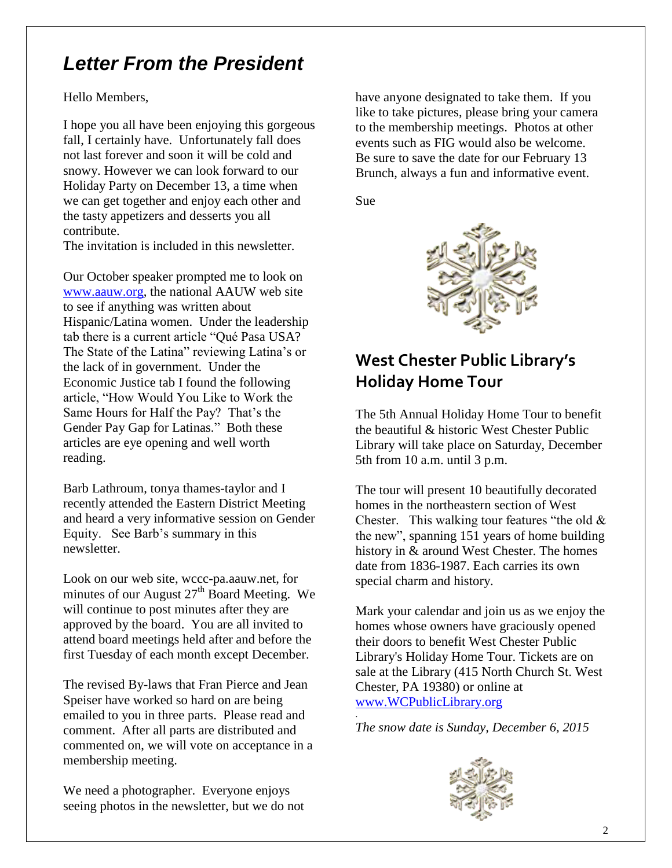# *Letter From the President*

Hello Members,

I hope you all have been enjoying this gorgeous fall, I certainly have. Unfortunately fall does not last forever and soon it will be cold and snowy. However we can look forward to our Holiday Party on December 13, a time when we can get together and enjoy each other and the tasty appetizers and desserts you all contribute.

The invitation is included in this newsletter.

Our October speaker prompted me to look on [www.aauw.org,](http://www.aauw.org/) the national AAUW web site to see if anything was written about Hispanic/Latina women. Under the leadership tab there is a current article "Qué Pasa USA? The State of the Latina" reviewing Latina's or the lack of in government. Under the Economic Justice tab I found the following article, "How Would You Like to Work the Same Hours for Half the Pay? That's the Gender Pay Gap for Latinas." Both these articles are eye opening and well worth reading.

Barb Lathroum, tonya thames-taylor and I recently attended the Eastern District Meeting and heard a very informative session on Gender Equity. See Barb's summary in this newsletter.

Look on our web site, wccc-pa.aauw.net, for minutes of our August  $27<sup>th</sup>$  Board Meeting. We will continue to post minutes after they are approved by the board. You are all invited to attend board meetings held after and before the first Tuesday of each month except December.

The revised By-laws that Fran Pierce and Jean Speiser have worked so hard on are being emailed to you in three parts. Please read and comment. After all parts are distributed and commented on, we will vote on acceptance in a membership meeting.

We need a photographer. Everyone enjoys seeing photos in the newsletter, but we do not have anyone designated to take them. If you like to take pictures, please bring your camera to the membership meetings. Photos at other events such as FIG would also be welcome. Be sure to save the date for our February 13 Brunch, always a fun and informative event.

Sue



# **West Chester Public Library's Holiday Home Tour**

The 5th Annual Holiday Home Tour to benefit the beautiful & historic West Chester Public Library will take place on Saturday, December 5th from 10 a.m. until 3 p.m.

The tour will present 10 beautifully decorated homes in the northeastern section of West Chester. This walking tour features "the old & the new", spanning 151 years of home building history in & around West Chester. The homes date from 1836-1987. Each carries its own special charm and history.

Mark your calendar and join us as we enjoy the homes whose owners have graciously opened their doors to benefit West Chester Public Library's Holiday Home Tour. Tickets are on sale at the Library (415 North Church St. West Chester, PA 19380) or online at [www.WCPublicLibrary.org](http://www.wcpubliclibrary.org/)

. *The snow date is Sunday, December 6, 2015*

![](_page_1_Picture_17.jpeg)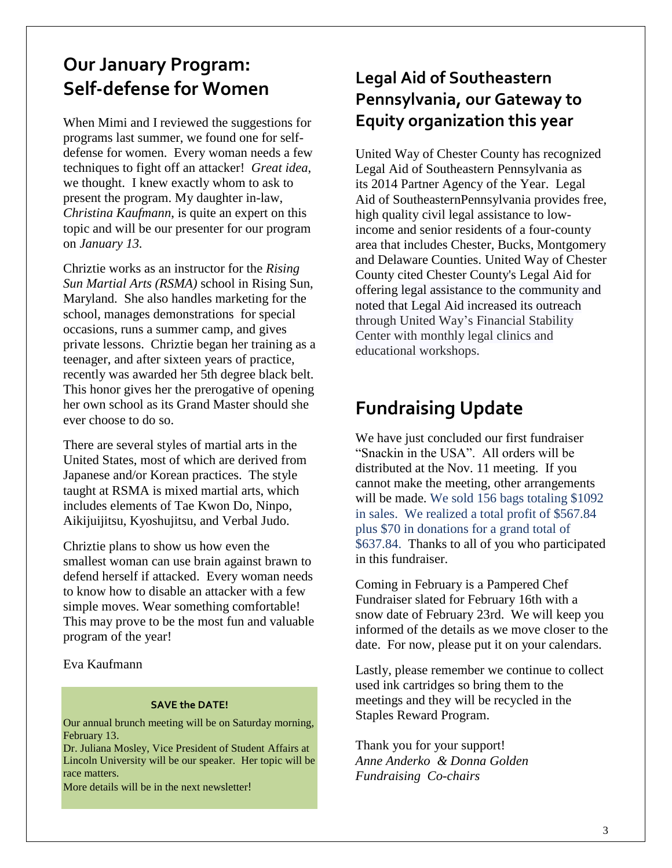# **Our January Program: Self-defense for Women**

When Mimi and I reviewed the suggestions for programs last summer, we found one for selfdefense for women. Every woman needs a few techniques to fight off an attacker! *Great idea*, we thought. I knew exactly whom to ask to present the program. My daughter in-law, *Christina Kaufmann*, is quite an expert on this topic and will be our presenter for our program on *January 13.*

Chriztie works as an instructor for the *Rising Sun Martial Arts (RSMA)* school in Rising Sun, Maryland. She also handles marketing for the school, manages demonstrations for special occasions, runs a summer camp, and gives private lessons. Chriztie began her training as a teenager, and after sixteen years of practice, recently was awarded her 5th degree black belt. This honor gives her the prerogative of opening her own school as its Grand Master should she ever choose to do so.

There are several styles of martial arts in the United States, most of which are derived from Japanese and/or Korean practices. The style taught at RSMA is mixed martial arts, which includes elements of Tae Kwon Do, Ninpo, Aikijuijitsu, Kyoshujitsu, and Verbal Judo.

Chriztie plans to show us how even the smallest woman can use brain against brawn to defend herself if attacked. Every woman needs to know how to disable an attacker with a few simple moves. Wear something comfortable! This may prove to be the most fun and valuable program of the year!

Eva Kaufmann

#### **SAVE the DATE!**

Our annual brunch meeting will be on Saturday morning, February 13.

Dr. Juliana Mosley, Vice President of Student Affairs at Lincoln University will be our speaker. Her topic will be race matters.

More details will be in the next newsletter!

## **Legal Aid of Southeastern Pennsylvania, our Gateway to Equity organization this year**

United Way of Chester County has recognized Legal Aid of Southeastern Pennsylvania as its 2014 Partner Agency of the Year. Legal Aid of SoutheasternPennsylvania provides free, high quality civil legal assistance to lowincome and senior residents of a four-county area that includes Chester, Bucks, Montgomery and Delaware Counties. United Way of Chester County cited Chester County's Legal Aid for offering legal assistance to the community and noted that Legal Aid increased its outreach through United Way's Financial Stability Center with monthly legal clinics and educational workshops.

## **Fundraising Update**

We have just concluded our first fundraiser "Snackin in the USA". All orders will be distributed at the Nov. 11 meeting. If you cannot make the meeting, other arrangements will be made. We sold 156 bags totaling \$1092 in sales. We realized a total profit of \$567.84 plus \$70 in donations for a grand total of \$637.84. Thanks to all of you who participated in this fundraiser.

Coming in February is a Pampered Chef Fundraiser slated for February 16th with a snow date of February 23rd. We will keep you informed of the details as we move closer to the date. For now, please put it on your calendars.

Lastly, please remember we continue to collect used ink cartridges so bring them to the meetings and they will be recycled in the Staples Reward Program.

Thank you for your support! *Anne Anderko & Donna Golden Fundraising Co-chairs*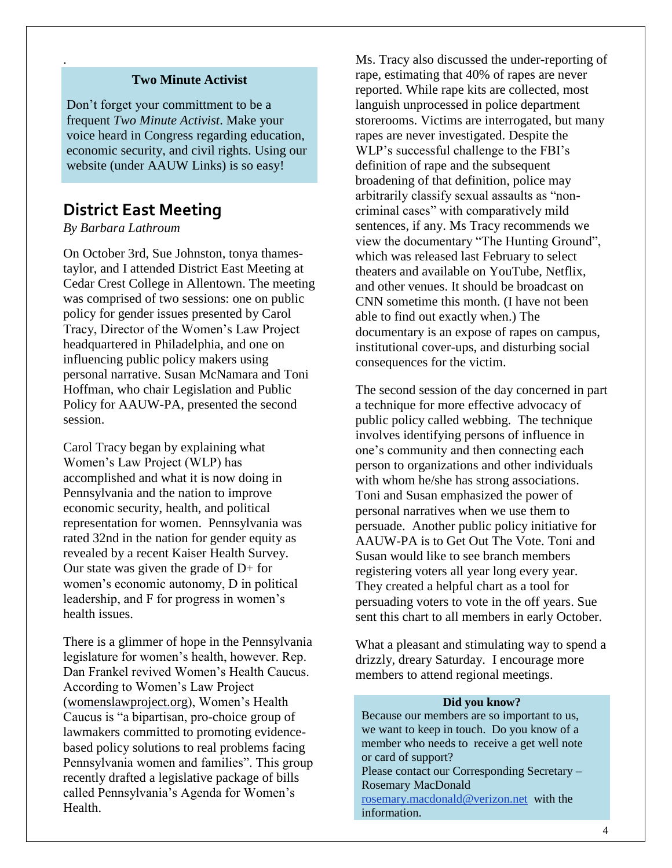### **Two Minute Activist**

Don't forget your committment to be a frequent *Two Minute Activist*. Make your voice heard in Congress regarding education, economic security, and civil rights. Using our website (under AAUW Links) is so easy!

## **District East Meeting**

### *By Barbara Lathroum*

.

On October 3rd, Sue Johnston, tonya thamestaylor, and I attended District East Meeting at Cedar Crest College in Allentown. The meeting was comprised of two sessions: one on public policy for gender issues presented by Carol Tracy, Director of the Women's Law Project headquartered in Philadelphia, and one on influencing public policy makers using personal narrative. Susan McNamara and Toni Hoffman, who chair Legislation and Public Policy for AAUW-PA, presented the second session.

Carol Tracy began by explaining what Women's Law Project (WLP) has accomplished and what it is now doing in Pennsylvania and the nation to improve economic security, health, and political representation for women. Pennsylvania was rated 32nd in the nation for gender equity as revealed by a recent Kaiser Health Survey. Our state was given the grade of D+ for women's economic autonomy, D in political leadership, and F for progress in women's health issues.

There is a glimmer of hope in the Pennsylvania legislature for women's health, however. Rep. Dan Frankel revived Women's Health Caucus. According to Women's Law Project [\(womenslawproject.org\)](http://womenslawproject.org/), Women's Health Caucus is "a bipartisan, pro-choice group of lawmakers committed to promoting evidencebased policy solutions to real problems facing Pennsylvania women and families". This group recently drafted a legislative package of bills called Pennsylvania's Agenda for Women's Health.

Ms. Tracy also discussed the under-reporting of rape, estimating that 40% of rapes are never reported. While rape kits are collected, most languish unprocessed in police department storerooms. Victims are interrogated, but many rapes are never investigated. Despite the WLP's successful challenge to the FBI's definition of rape and the subsequent broadening of that definition, police may arbitrarily classify sexual assaults as "noncriminal cases" with comparatively mild sentences, if any. Ms Tracy recommends we view the documentary "The Hunting Ground", which was released last February to select theaters and available on YouTube, Netflix, and other venues. It should be broadcast on CNN sometime this month. (I have not been able to find out exactly when.) The documentary is an expose of rapes on campus, institutional cover-ups, and disturbing social consequences for the victim.

The second session of the day concerned in part a technique for more effective advocacy of public policy called webbing. The technique involves identifying persons of influence in one's community and then connecting each person to organizations and other individuals with whom he/she has strong associations. Toni and Susan emphasized the power of personal narratives when we use them to persuade. Another public policy initiative for AAUW-PA is to Get Out The Vote. Toni and Susan would like to see branch members registering voters all year long every year. They created a helpful chart as a tool for persuading voters to vote in the off years. Sue sent this chart to all members in early October.

What a pleasant and stimulating way to spend a drizzly, dreary Saturday. I encourage more members to attend regional meetings.

#### **Did you know?**

 Because our members are so important to us, we want to keep in touch. Do you know of a member who needs to receive a get well note or card of support? Please contact our Corresponding Secretary – Rosemary MacDonald [rosemary.macdonald@verizon.net](mailto:rosemary.macdonald@verizon.net) with the information.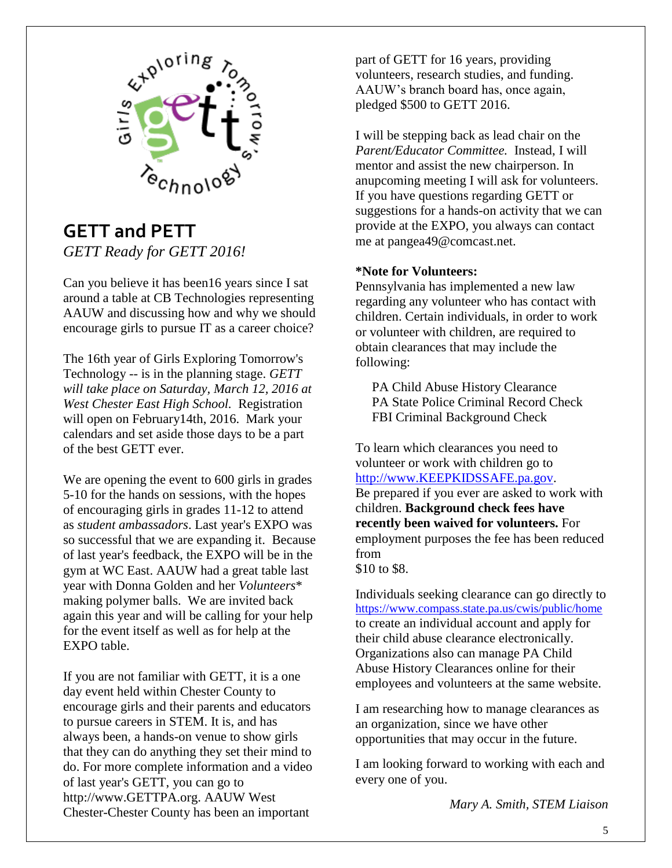![](_page_4_Picture_0.jpeg)

## **GETT and PETT** *GETT Ready for GETT 2016!*

Can you believe it has been16 years since I sat around a table at CB Technologies representing AAUW and discussing how and why we should encourage girls to pursue IT as a career choice?

The 16th year of Girls Exploring Tomorrow's Technology -- is in the planning stage. *GETT will take place on Saturday, March 12, 2016 at West Chester East High School.* Registration will open on February14th, 2016. Mark your calendars and set aside those days to be a part of the best GETT ever.

We are opening the event to 600 girls in grades 5-10 for the hands on sessions, with the hopes of encouraging girls in grades 11-12 to attend as *student ambassadors*. Last year's EXPO was so successful that we are expanding it. Because of last year's feedback, the EXPO will be in the gym at WC East. AAUW had a great table last year with Donna Golden and her *Volunteers*\* making polymer balls. We are invited back again this year and will be calling for your help for the event itself as well as for help at the EXPO table.

If you are not familiar with GETT, it is a one day event held within Chester County to encourage girls and their parents and educators to pursue careers in STEM. It is, and has always been, a hands-on venue to show girls that they can do anything they set their mind to do. For more complete information and a video of last year's GETT, you can go to http://www.GETTPA.org. AAUW West Chester-Chester County has been an important

part of GETT for 16 years, providing volunteers, research studies, and funding. AAUW's branch board has, once again, pledged \$500 to GETT 2016.

I will be stepping back as lead chair on the *Parent/Educator Committee.* Instead, I will mentor and assist the new chairperson. In anupcoming meeting I will ask for volunteers. If you have questions regarding GETT or suggestions for a hands-on activity that we can provide at the EXPO, you always can contact me at pangea49@comcast.net.

### **\*Note for Volunteers:**

Pennsylvania has implemented a new law regarding any volunteer who has contact with children. Certain individuals, in order to work or volunteer with children, are required to obtain clearances that may include the following:

 PA Child Abuse History Clearance PA State Police Criminal Record Check FBI Criminal Background Check

To learn which clearances you need to volunteer or work with children go to [http://www.KEEPKIDSSAFE.pa.gov.](http://www.keepkidssafe.pa.gov/) Be prepared if you ever are asked to work with children. **Background check fees have recently been waived for volunteers.** For employment purposes the fee has been reduced from \$10 to \$8.

Individuals seeking clearance can go directly to <https://www.compass.state.pa.us/cwis/public/home> to create an individual account and apply for their child abuse clearance electronically. Organizations also can manage PA Child Abuse History Clearances online for their employees and volunteers at the same website.

I am researching how to manage clearances as an organization, since we have other opportunities that may occur in the future.

I am looking forward to working with each and every one of you.

*Mary A. Smith, STEM Liaison*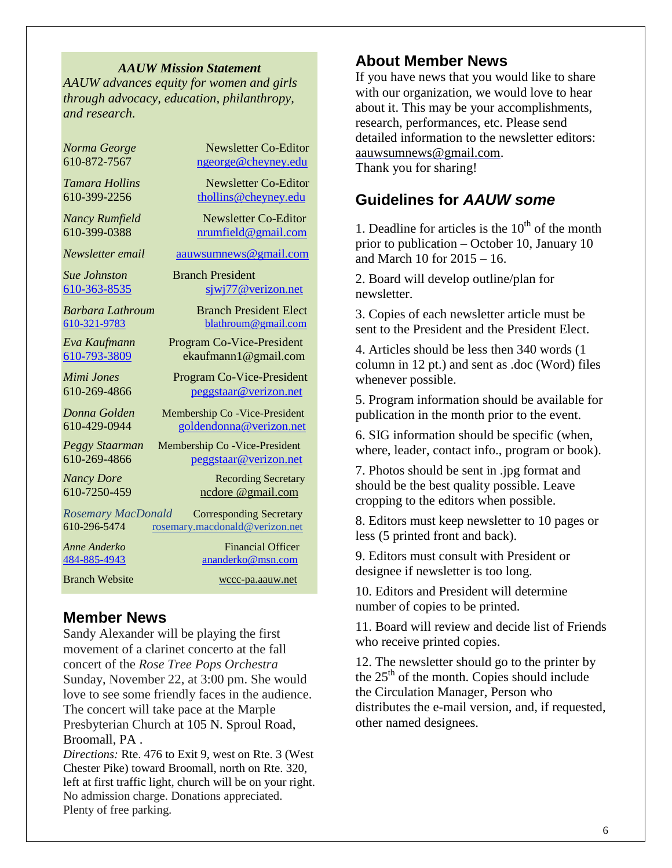#### *AAUW Mission Statement*

*AAUW advances equity for women and girls through advocacy, education, philanthropy, and research.*

Branch Website [wccc-pa.aauw.net](http://wccc-pa.aauw.net/)

*Norma George* Newsletter Co-Editor 610-872-7567 [ngeorge@cheyney.edu](mailto:ngeorge@cheyney.ecu)

*Tamara Hollins* Newsletter Co-Editor 610-399-2256 [thollins@cheyney.edu](mailto:thollins@cheyney.edu)

*Nancy Rumfield* **Newsletter Co-Editor** 610-399-0388 [nrumfield@gmail.com](mailto:nrumfield@gmail.com)

*Newsletter email* [aauwsumnews@gmail.com](mailto:aauwsumnews@gmail.com)

*Sue Johnston* Branch President [610-363-8535](mailto:610-363-8535) [sjwj77@verizon.net](mailto:sjwj77@verizon.net)

*Barbara Lathroum* Branch President Elect [610-321-9783](mailto:610-321-9783) [blathroum@gmail.com](mailto:blathroum@gmail.com)

*Eva Kaufmann* Program Co-Vice-President [610-793-3809](mailto:610-793-3809) ekaufmann1@gmail.com

*Mimi Jones* Program Co-Vice-President 610-269-4866 [peggstaar@verizon.net](mailto:4dores@comcast.net)

*Donna Golden* Membership Co -Vice-President 610-429-0944 [goldendonna@verizon.net](mailto:goldendonna@verizon.net)

*Peggy Staarman* Membership Co -Vice-President 610-269-4866 [peggstaar@verizon.net](mailto:4dores@comcast.net)

*Nancy Dore* **Recording Secretary** 610-7250-459 ncdore @gmail.com

*Rosemary MacDonald* Corresponding Secretary 610-296-5474 [rosemary.macdonald@verizon.net](mailto:rosemary.macdonald@verizon.net)

*Anne Anderko* Financial Officer [484-885-4943](mailto:484-885-4943) [ananderko@msn.com](mailto:ananderko@msn.com)

## **Member News**

Sandy Alexander will be playing the first movement of a clarinet concerto at the fall concert of the *Rose Tree Pops Orchestra* Sunday, November 22, at 3:00 pm. She would love to see some friendly faces in the audience. The concert will take pace at the Marple Presbyterian Church at 105 N. Sproul Road, Broomall, PA .

*Directions:* Rte. 476 to Exit 9, west on Rte. 3 (West Chester Pike) toward Broomall, north on Rte. 320, left at first traffic light, church will be on your right. No admission charge. Donations appreciated. Plenty of free parking.

## **About Member News**

If you have news that you would like to share with our organization, we would love to hear about it. This may be your accomplishments, research, performances, etc. Please send detailed information to the newsletter editors: [aauwsumnews@gmail.com.](mailto:aauwsum@gmail.com) Thank you for sharing!

## **Guidelines for** *AAUW some*

1. Deadline for articles is the  $10<sup>th</sup>$  of the month prior to publication – October 10, January 10 and March 10 for 2015 – 16.

2. Board will develop outline/plan for newsletter.

3. Copies of each newsletter article must be sent to the President and the President Elect.

4. Articles should be less then 340 words (1 column in 12 pt.) and sent as .doc (Word) files whenever possible.

5. Program information should be available for publication in the month prior to the event.

6. SIG information should be specific (when, where, leader, contact info., program or book).

7. Photos should be sent in .jpg format and should be the best quality possible. Leave cropping to the editors when possible.

8. Editors must keep newsletter to 10 pages or less (5 printed front and back).

9. Editors must consult with President or designee if newsletter is too long.

10. Editors and President will determine number of copies to be printed.

11. Board will review and decide list of Friends who receive printed copies.

12. The newsletter should go to the printer by the  $25<sup>th</sup>$  of the month. Copies should include the Circulation Manager, Person who distributes the e-mail version, and, if requested, other named designees.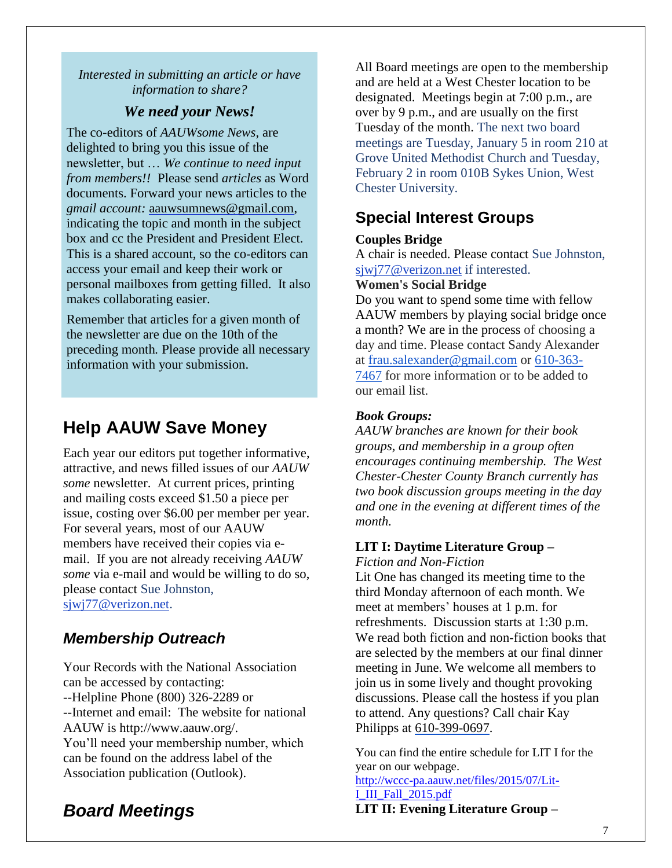### *Interested in submitting an article or have information to share?*

## *We need your News!*

The co-editors of *AAUWsome News*, are delighted to bring you this issue of the newsletter, but … *We continue to need input from members!!* Please send *articles* as Word documents. Forward your news articles to the *gmail account:* [aauwsumnews@gmail.com,](mailto:aauwsum@gmail.com) indicating the topic and month in the subject box and cc the President and President Elect. This is a shared account, so the co-editors can access your email and keep their work or personal mailboxes from getting filled. It also makes collaborating easier.

Remember that articles for a given month of the newsletter are due on the 10th of the preceding month*.* Please provide all necessary information with your submission.

# **Help AAUW Save Money**

Each year our editors put together informative, attractive, and news filled issues of our *AAUW some* newsletter. At current prices, printing and mailing costs exceed \$1.50 a piece per issue, costing over \$6.00 per member per year. For several years, most of our AAUW members have received their copies via email. If you are not already receiving *AAUW some* via e-mail and would be willing to do so, please contact Sue Johnston, [sjwj77@verizon.net.](mailto:sjwj77@verizon.net)

## *Membership Outreach*

Your Records with the National Association can be accessed by contacting: --Helpline Phone (800) 326-2289 or --Internet and email: The website for national AAUW is http://www.aauw.org/. You'll need your membership number, which can be found on the address label of the Association publication (Outlook).

# *Board Meetings*

All Board meetings are open to the membership and are held at a West Chester location to be designated. Meetings begin at 7:00 p.m., are over by 9 p.m., and are usually on the first Tuesday of the month. The next two board meetings are Tuesday, January 5 in room 210 at Grove United Methodist Church and Tuesday, February 2 in room 010B Sykes Union, West Chester University.

## **Special Interest Groups**

## **Couples Bridge**

A chair is needed. Please contact Sue Johnston, [sjwj77@verizon.net](mailto:sjwj77@verizon.net) if interested.

## **Women's Social Bridge**

Do you want to spend some time with fellow AAUW members by playing social bridge once a month? We are in the process of choosing a day and time. Please contact Sandy Alexander at [frau.salexander@gmail.com](mailto:frau.salexander@gmail.com) or 610-363- 7467 for more information or to be added to our email list.

## *Book Groups:*

*AAUW branches are known for their book groups, and membership in a group often encourages continuing membership. The West Chester-Chester County Branch currently has two book discussion groups meeting in the day and one in the evening at different times of the month.* 

## **LIT I: Daytime Literature Group –**

*Fiction and Non-Fiction*

Lit One has changed its meeting time to the third Monday afternoon of each month. We meet at members' houses at 1 p.m. for refreshments. Discussion starts at 1:30 p.m. We read both fiction and non-fiction books that are selected by the members at our final dinner meeting in June. We welcome all members to join us in some lively and thought provoking discussions. Please call the hostess if you plan to attend. Any questions? Call chair Kay Philipps at 610-399-0697.

You can find the entire schedule for LIT I for the year on our webpage.

## [http://wccc-pa.aauw.net/files/2015/07/Lit-](http://wccc-pa.aauw.net/files/2015/07/Lit-I_III_Fall_2015.pdf)[I\\_III\\_Fall\\_2015.pdf](http://wccc-pa.aauw.net/files/2015/07/Lit-I_III_Fall_2015.pdf)

**LIT II: Evening Literature Group –**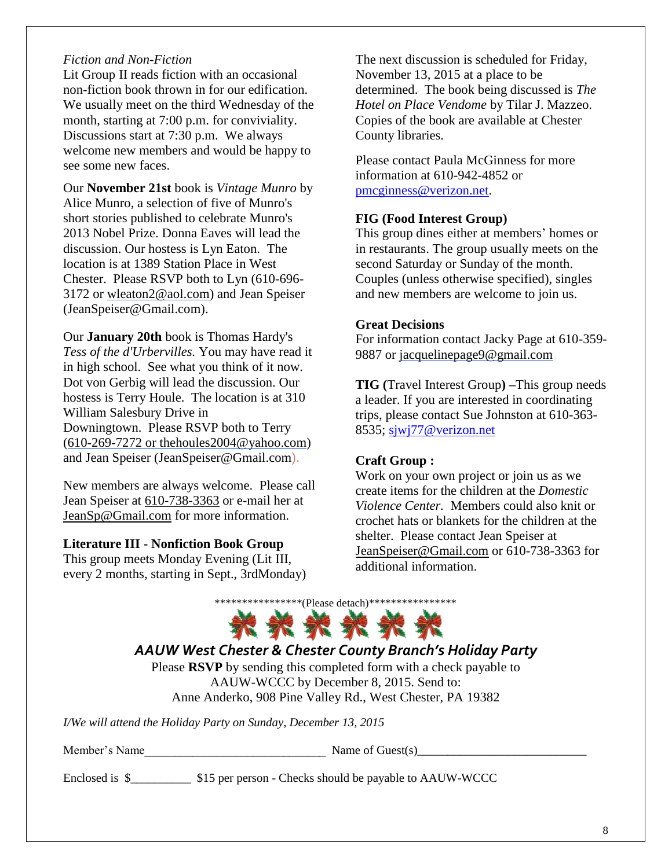### *Fiction and Non-Fiction*

Lit Group II reads fiction with an occasional non-fiction book thrown in for our edification. We usually meet on the third Wednesday of the month, starting at 7:00 p.m. for conviviality. Discussions start at 7:30 p.m. We always welcome new members and would be happy to see some new faces.

Our **November 21st** book is *Vintage Munro* by Alice Munro, a selection of five of Munro's short stories published to celebrate Munro's 2013 Nobel Prize. Donna Eaves will lead the discussion. Our hostess is Lyn Eaton. The location is at 1389 Station Place in West Chester. Please RSVP both to Lyn (610-696- 3172 or [wleaton2@aol.com\)](mailto:wleaton2@aol.com) and Jean Speiser (JeanSpeiser@Gmail.com).

Our **January 20th** book is Thomas Hardy's *Tess of the d'Urbervilles.* You may have read it in high school. See what you think of it now. Dot von Gerbig will lead the discussion. Our hostess is Terry Houle. The location is at 310 William Salesbury Drive in Downingtown. Please RSVP both to Terry (610-269-7272 or [thehoules2004@yahoo.com\)](mailto:thehoules2004@yahoo.com) and Jean Speiser [\(JeanSpeiser@Gmail.com](mailto:JeanSpeiser@Gmail.com)).

New members are always welcome. Please call Jean Speiser at [610-738-3363](mailto:610-738-3363) or e-mail her at [JeanSp@Gmail.com](mailto:JeanSp@Gmail.com) for more information.

### **Literature III - Nonfiction Book Group**

This group meets Monday Evening (Lit III, every 2 months, starting in Sept., 3rdMonday) The next discussion is scheduled for Friday, November 13, 2015 at a place to be determined. The book being discussed is *The Hotel on Place Vendome* by Tilar J. Mazzeo. Copies of the book are available at Chester County libraries.

Please contact Paula McGinness for more information at 610-942-4852 or [pmcginness@verizon.net.](mailto:pmcginness@verizon.net)

#### **FIG (Food Interest Group)**

This group dines either at members' homes or in restaurants. The group usually meets on the second Saturday or Sunday of the month. Couples (unless otherwise specified), singles and new members are welcome to join us.

#### **Great Decisions**

For information contact Jacky Page at 610-359- 9887 or [jacquelinepage9@gmail.com](mailto:jacquelinepage9@gmail.com)

**TIG (**Travel Interest Group**) –**This group needs a leader. If you are interested in coordinating trips, please contact Sue Johnston at 610-363- 8535; [sjwj77@verizon.net](mailto:sjwj77@verizon.net)

#### **Craft Group :**

Work on your own project or join us as we create items for the children at the *Domestic Violence Center.* Members could also knit or crochet hats or blankets for the children at the shelter. Please contact Jean Speiser at [JeanSpeiser@Gmail.com](mailto:JeanSpeiser@Gmail.com) or 610-738-3363 for additional information.

![](_page_7_Picture_16.jpeg)

## *AAUW West Chester & Chester County Branch's Holiday Party*

Please **RSVP** by sending this completed form with a check payable to AAUW-WCCC by December 8, 2015. Send to: Anne Anderko, 908 Pine Valley Rd., West Chester, PA 19382

*I/We will attend the Holiday Party on Sunday, December 13, 2015*

Member's Name  $\blacksquare$  Name of Guest(s)

Enclosed is \$\_\_\_\_\_\_\_\_\_\_\_\_ \$15 per person - Checks should be payable to AAUW-WCCC